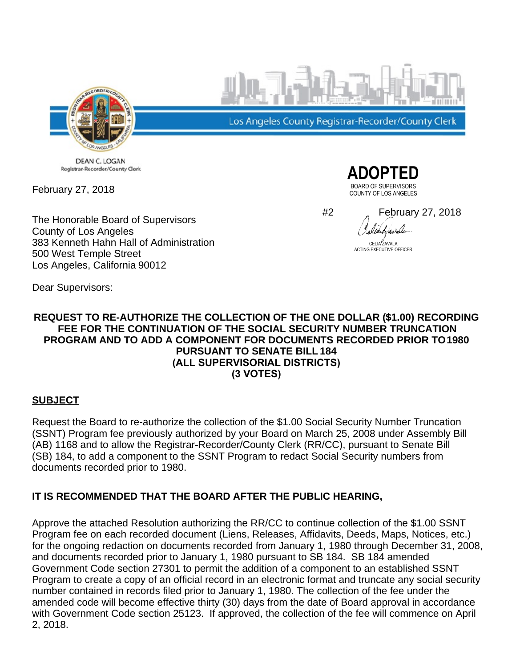

DEAN C. LOGAN Registrar-Recorder/County Clerk

February 27, 2018

The Honorable Board of Supervisors County of Los Angeles 383 Kenneth Hahn Hall of Administration 500 West Temple Street Los Angeles, California 90012

Los Angeles County Registrar-Recorder/County Clerk



#2 February 27, 2018liahavala

CELIA ZAVALA ACTING EXECUTIVE OFFICER

Dear Supervisors:

#### **REQUEST TO RE-AUTHORIZE THE COLLECTION OF THE ONE DOLLAR (\$1.00) RECORDING FEE FOR THE CONTINUATION OF THE SOCIAL SECURITY NUMBER TRUNCATION PROGRAM AND TO ADD A COMPONENT FOR DOCUMENTS RECORDED PRIOR TO 1980 PURSUANT TO SENATE BILL 184 (ALL SUPERVISORIAL DISTRICTS) (3 VOTES)**

#### **SUBJECT**

Request the Board to re-authorize the collection of the \$1.00 Social Security Number Truncation (SSNT) Program fee previously authorized by your Board on March 25, 2008 under Assembly Bill (AB) 1168 and to allow the Registrar-Recorder/County Clerk (RR/CC), pursuant to Senate Bill (SB) 184, to add a component to the SSNT Program to redact Social Security numbers from documents recorded prior to 1980.

## **IT IS RECOMMENDED THAT THE BOARD AFTER THE PUBLIC HEARING,**

Approve the attached Resolution authorizing the RR/CC to continue collection of the \$1.00 SSNT Program fee on each recorded document (Liens, Releases, Affidavits, Deeds, Maps, Notices, etc.) for the ongoing redaction on documents recorded from January 1, 1980 through December 31, 2008, and documents recorded prior to January 1, 1980 pursuant to SB 184. SB 184 amended Government Code section 27301 to permit the addition of a component to an established SSNT Program to create a copy of an official record in an electronic format and truncate any social security number contained in records filed prior to January 1, 1980. The collection of the fee under the amended code will become effective thirty (30) days from the date of Board approval in accordance with Government Code section 25123. If approved, the collection of the fee will commence on April 2, 2018.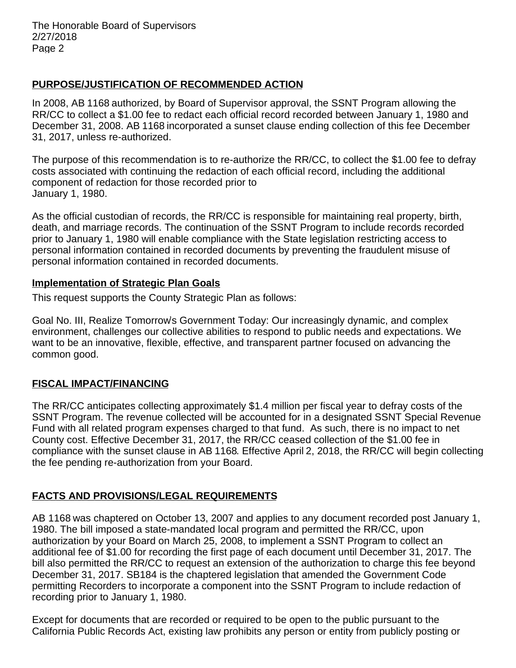### **PURPOSE/JUSTIFICATION OF RECOMMENDED ACTION**

In 2008, AB 1168 authorized, by Board of Supervisor approval, the SSNT Program allowing the RR/CC to collect a \$1.00 fee to redact each official record recorded between January 1, 1980 and December 31, 2008. AB 1168 incorporated a sunset clause ending collection of this fee December 31, 2017, unless re-authorized.

The purpose of this recommendation is to re-authorize the RR/CC, to collect the \$1.00 fee to defray costs associated with continuing the redaction of each official record, including the additional component of redaction for those recorded prior to January 1, 1980.

As the official custodian of records, the RR/CC is responsible for maintaining real property, birth, death, and marriage records. The continuation of the SSNT Program to include records recorded prior to January 1, 1980 will enable compliance with the State legislation restricting access to personal information contained in recorded documents by preventing the fraudulent misuse of personal information contained in recorded documents.

#### **Implementation of Strategic Plan Goals**

This request supports the County Strategic Plan as follows:

Goal No. III, Realize Tomorrow's Government Today: Our increasingly dynamic, and complex environment, challenges our collective abilities to respond to public needs and expectations. We want to be an innovative, flexible, effective, and transparent partner focused on advancing the common good.

## **FISCAL IMPACT/FINANCING**

The RR/CC anticipates collecting approximately \$1.4 million per fiscal year to defray costs of the SSNT Program. The revenue collected will be accounted for in a designated SSNT Special Revenue Fund with all related program expenses charged to that fund. As such, there is no impact to net County cost. Effective December 31, 2017, the RR/CC ceased collection of the \$1.00 fee in compliance with the sunset clause in AB 1168. Effective April 2, 2018, the RR/CC will begin collecting the fee pending re-authorization from your Board.

# **FACTS AND PROVISIONS/LEGAL REQUIREMENTS**

AB 1168 was chaptered on October 13, 2007 and applies to any document recorded post January 1, 1980. The bill imposed a state-mandated local program and permitted the RR/CC, upon authorization by your Board on March 25, 2008, to implement a SSNT Program to collect an additional fee of \$1.00 for recording the first page of each document until December 31, 2017. The bill also permitted the RR/CC to request an extension of the authorization to charge this fee beyond December 31, 2017. SB184 is the chaptered legislation that amended the Government Code permitting Recorders to incorporate a component into the SSNT Program to include redaction of recording prior to January 1, 1980.

Except for documents that are recorded or required to be open to the public pursuant to the California Public Records Act, existing law prohibits any person or entity from publicly posting or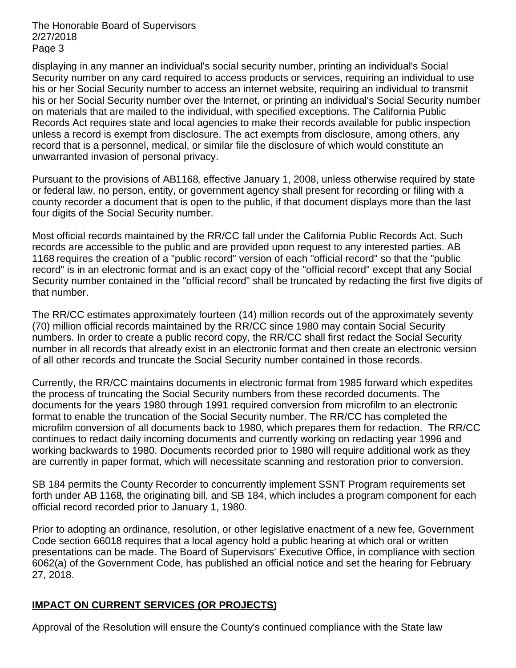The Honorable Board of Supervisors 2/27/2018 Page 3

displaying in any manner an individual's social security number, printing an individual's Social Security number on any card required to access products or services, requiring an individual to use his or her Social Security number to access an internet website, requiring an individual to transmit his or her Social Security number over the Internet, or printing an individual's Social Security number on materials that are mailed to the individual, with specified exceptions. The California Public Records Act requires state and local agencies to make their records available for public inspection unless a record is exempt from disclosure. The act exempts from disclosure, among others, any record that is a personnel, medical, or similar file the disclosure of which would constitute an unwarranted invasion of personal privacy.

Pursuant to the provisions of AB1168, effective January 1, 2008, unless otherwise required by state or federal law, no person, entity, or government agency shall present for recording or filing with a county recorder a document that is open to the public, if that document displays more than the last four digits of the Social Security number.

Most official records maintained by the RR/CC fall under the California Public Records Act. Such records are accessible to the public and are provided upon request to any interested parties. AB 1168 requires the creation of a "public record" version of each "official record" so that the "public record" is in an electronic format and is an exact copy of the "official record" except that any Social Security number contained in the "official record" shall be truncated by redacting the first five digits of that number.

The RR/CC estimates approximately fourteen (14) million records out of the approximately seventy (70) million official records maintained by the RR/CC since 1980 may contain Social Security numbers. In order to create a public record copy, the RR/CC shall first redact the Social Security number in all records that already exist in an electronic format and then create an electronic version of all other records and truncate the Social Security number contained in those records.

Currently, the RR/CC maintains documents in electronic format from 1985 forward which expedites the process of truncating the Social Security numbers from these recorded documents. The documents for the years 1980 through 1991 required conversion from microfilm to an electronic format to enable the truncation of the Social Security number. The RR/CC has completed the microfilm conversion of all documents back to 1980, which prepares them for redaction. The RR/CC continues to redact daily incoming documents and currently working on redacting year 1996 and working backwards to 1980. Documents recorded prior to 1980 will require additional work as they are currently in paper format, which will necessitate scanning and restoration prior to conversion.

SB 184 permits the County Recorder to concurrently implement SSNT Program requirements set forth under AB 1168, the originating bill, and SB 184, which includes a program component for each official record recorded prior to January 1, 1980.

Prior to adopting an ordinance, resolution, or other legislative enactment of a new fee, Government Code section 66018 requires that a local agency hold a public hearing at which oral or written presentations can be made. The Board of Supervisors' Executive Office, in compliance with section 6062(a) of the Government Code, has published an official notice and set the hearing for February 27, 2018.

## **IMPACT ON CURRENT SERVICES (OR PROJECTS)**

Approval of the Resolution will ensure the County's continued compliance with the State law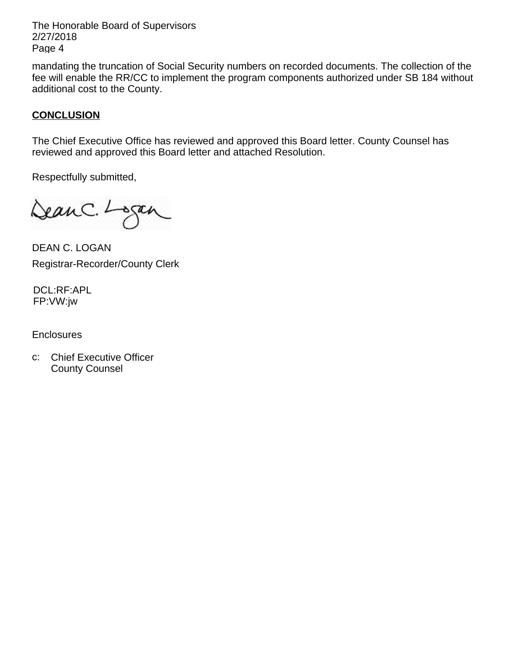The Honorable Board of Supervisors 2/27/2018 Page 4

mandating the truncation of Social Security numbers on recorded documents. The collection of the fee will enable the RR/CC to implement the program components authorized under SB 184 without additional cost to the County.

### **CONCLUSION**

The Chief Executive Office has reviewed and approved this Board letter. County Counsel has reviewed and approved this Board letter and attached Resolution.

Respectfully submitted,

Dean C. Logan

DEAN C. LOGAN Registrar-Recorder/County Clerk

DCL:RF:APL FP:VW:jw

**Enclosures** 

c: Chief Executive Officer County Counsel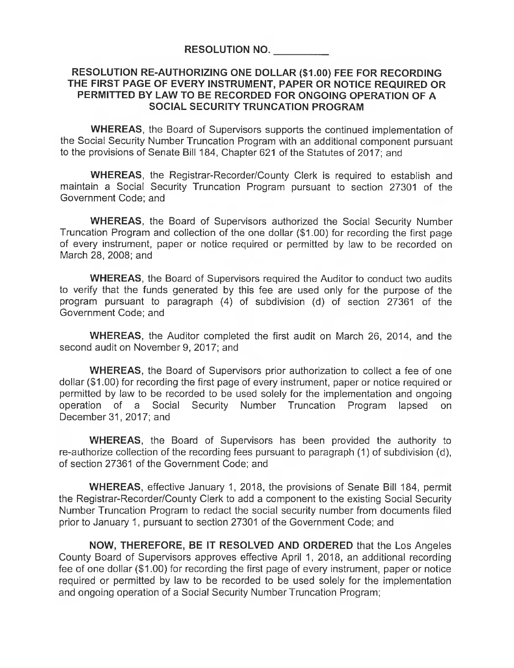#### RESOLUTION RE-AUTHORIZING ONE DOLLAR (\$1.00) FEE FOR RECORDING THE FIRST PAGE OF EVERY INSTRUMENT, PAPER OR NOTICE REQUIRED OR PERMITTED BY LAW TO BE RECORDED FOR ONGOING OPERATION OF A SOCIAL SECURITY TRUNCATION PROGRAM

WHEREAS, the Board of Supervisors supports the continued implementation of the Social Security Number Truncation Program with an additional component pursuant to the provisions of Senate Bill 184, Chapter 621 of the Statutes of 2017; and

WHEREAS, the Registrar-Recorder/County Clerk is required to establish and maintain a Social Security Truncation Program pursuant to section 27301 of the Government Code; and

WHEREAS, the Board of Supervisors authorized the Social Security Number Truncation Program and collection of the one dollar (\$1.00) for recording the first page of every instrument, paper or notice required or permitted by law to be recorded on March 28, 2008; and

WHEREAS, the Board of Supervisors required the Auditor to conduct two audits to verify that the funds generated by this fee are used only for the purpose of the program pursuant to paragraph (4) of subdivision (d) of section 27361 of the Government Code; and

WHEREAS, the Auditor completed the first audit on March 26, 2014, and the second audit on November 9, 2017; and

WHEREAS, the Board of Supervisors prior authorization to collect a fee of one dollar (\$1.00) for recording the first page of every instrument, paper or notice required or permitted by law to be recorded to be used solely for the implementation and ongoing operation of a Social Security Number Truncation Program lapsed on December 31, 2017; and

WHEREAS, the Board of Supervisors has been provided the authority to re-authorize collection of the recording fees pursuant to paragraph (1) of subdivision (d), of section 27361 of the Government Code; and

WHEREAS, effective January 1, 2018, the provisions of Senate Bill 184, permit the Registrar-Recorder/County Clerk to add a component to the existing Social Security Number Truncation Program to redact the social security number from documents filed prior to January 1, pursuant to section 27301 of the Government Code; and

NOW, THEREFORE, BE IT RESOLVED AND ORDERED that the Los Angeles County Board of Supervisors approves effective April 1, 2018, an additional recording fee of one dollar (\$1.00) for recording the first page of every instrument, paper or notice required or permitted by law to be recorded to be used solely for the implementation and ongoing operation of a Social Security Number Truncation Program;